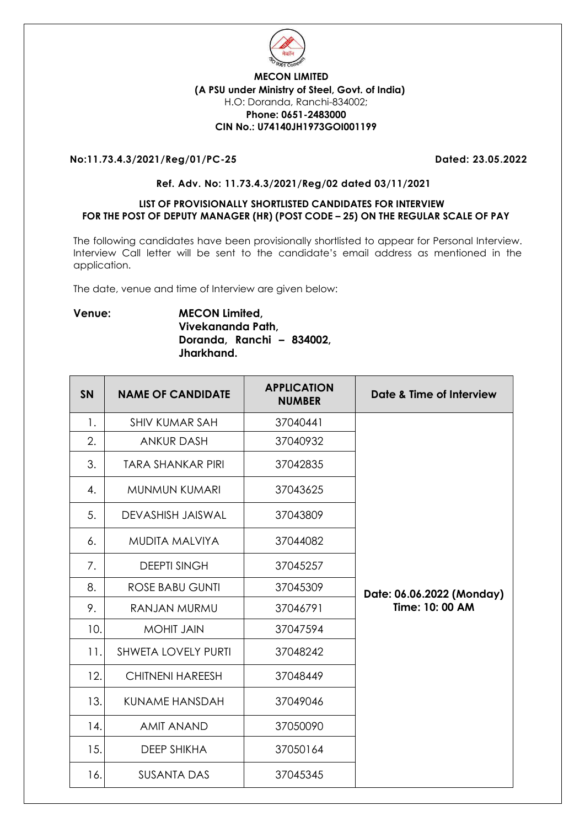

### **MECON LIMITED (A PSU under Ministry of Steel, Govt. of India)** H.O: Doranda, Ranchi-834002; **Phone: 0651-2483000 CIN No.: U74140JH1973GOI001199**

# **No:11.73.4.3/2021/Reg/01/PC-25 Dated: 23.05.2022**

### **Ref. Adv. No: 11.73.4.3/2021/Reg/02 dated 03/11/2021**

### **LIST OF PROVISIONALLY SHORTLISTED CANDIDATES FOR INTERVIEW FOR THE POST OF DEPUTY MANAGER (HR) (POST CODE – 25) ON THE REGULAR SCALE OF PAY**

The following candidates have been provisionally shortlisted to appear for Personal Interview. Interview Call letter will be sent to the candidate's email address as mentioned in the application.

The date, venue and time of Interview are given below:

# **Venue: MECON Limited, Vivekananda Path, Doranda, Ranchi – 834002, Jharkhand.**

| <b>SN</b> | <b>NAME OF CANDIDATE</b>   | <b>APPLICATION</b><br><b>NUMBER</b> | Date & Time of Interview  |
|-----------|----------------------------|-------------------------------------|---------------------------|
| 1.        | <b>SHIV KUMAR SAH</b>      | 37040441                            |                           |
| 2.        | <b>ANKUR DASH</b>          | 37040932                            |                           |
| 3.        | <b>TARA SHANKAR PIRI</b>   | 37042835                            |                           |
| 4.        | <b>MUNMUN KUMARI</b>       | 37043625                            |                           |
| 5.        | <b>DEVASHISH JAISWAL</b>   | 37043809                            |                           |
| 6.        | <b>MUDITA MALVIYA</b>      | 37044082                            |                           |
| 7.        | <b>DEEPTI SINGH</b>        | 37045257                            |                           |
| 8.        | <b>ROSE BABU GUNTI</b>     | 37045309                            | Date: 06.06.2022 (Monday) |
| 9.        | RANJAN MURMU               | 37046791                            | Time: 10: 00 AM           |
| 10.       | <b>MOHIT JAIN</b>          | 37047594                            |                           |
| 11.       | <b>SHWETA LOVELY PURTI</b> | 37048242                            |                           |
| 12.       | <b>CHITNENI HAREESH</b>    | 37048449                            |                           |
| 13.       | KUNAME HANSDAH             | 37049046                            |                           |
| 14.       | <b>AMIT ANAND</b>          | 37050090                            |                           |
| 15.       | <b>DEEP SHIKHA</b>         | 37050164                            |                           |
| 16.       | <b>SUSANTA DAS</b>         | 37045345                            |                           |